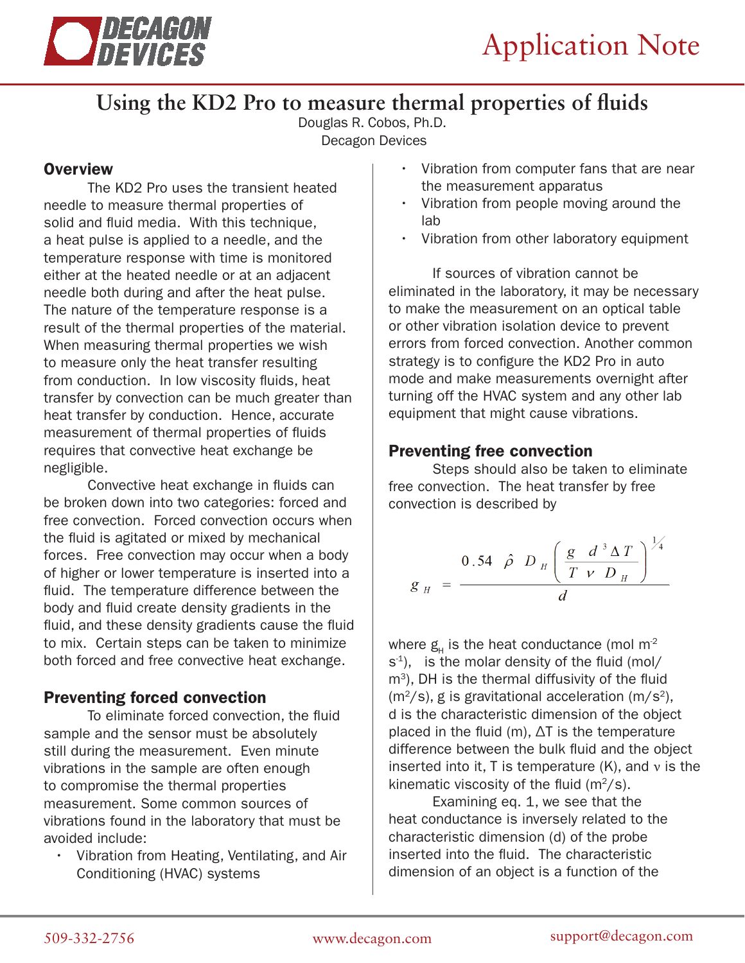

# **Using the KD2 Pro to measure thermal properties of fluids**

Douglas R. Cobos, Ph.D. Decagon Devices

# **Overview**

The KD2 Pro uses the transient heated needle to measure thermal properties of solid and fluid media. With this technique, a heat pulse is applied to a needle, and the temperature response with time is monitored either at the heated needle or at an adjacent needle both during and after the heat pulse. The nature of the temperature response is a result of the thermal properties of the material. When measuring thermal properties we wish to measure only the heat transfer resulting from conduction. In low viscosity fluids, heat transfer by convection can be much greater than heat transfer by conduction. Hence, accurate measurement of thermal properties of fluids requires that convective heat exchange be negligible.

Convective heat exchange in fluids can be broken down into two categories: forced and free convection. Forced convection occurs when the fluid is agitated or mixed by mechanical forces. Free convection may occur when a body of higher or lower temperature is inserted into a fluid. The temperature difference between the body and fluid create density gradients in the fluid, and these density gradients cause the fluid to mix. Certain steps can be taken to minimize both forced and free convective heat exchange.

# Preventing forced convection

To eliminate forced convection, the fluid sample and the sensor must be absolutely still during the measurement. Even minute vibrations in the sample are often enough to compromise the thermal properties measurement. Some common sources of vibrations found in the laboratory that must be avoided include:

• Vibration from Heating, Ventilating, and Air Conditioning (HVAC) systems

- Vibration from computer fans that are near the measurement apparatus
- Vibration from people moving around the lab
- Vibration from other laboratory equipment

If sources of vibration cannot be eliminated in the laboratory, it may be necessary to make the measurement on an optical table or other vibration isolation device to prevent errors from forced convection. Another common strategy is to configure the KD2 Pro in auto mode and make measurements overnight after turning off the HVAC system and any other lab equipment that might cause vibrations.

## Preventing free convection

Steps should also be taken to eliminate free convection. The heat transfer by free convection is described by

$$
g_{H} = \frac{0.54 \hat{\rho} D_{H} \left(\frac{g}{T \nu} \frac{d^{3} \Delta T}{D_{H}}\right)^{\frac{1}{4}}}{d}
$$

where  $g_{H}$  is the heat conductance (mol m<sup>2</sup>  $s<sup>-1</sup>$ ), is the molar density of the fluid (mol/  $m<sup>3</sup>$ ), DH is the thermal diffusivity of the fluid  $(m<sup>2</sup>/s)$ , g is gravitational acceleration  $(m/s<sup>2</sup>)$ , d is the characteristic dimension of the object placed in the fluid (m), ΔT is the temperature difference between the bulk fluid and the object inserted into it, T is temperature  $(K)$ , and  $\nu$  is the kinematic viscosity of the fluid  $(m^2/s)$ .

Examining eq. 1, we see that the heat conductance is inversely related to the characteristic dimension (d) of the probe inserted into the fluid. The characteristic dimension of an object is a function of the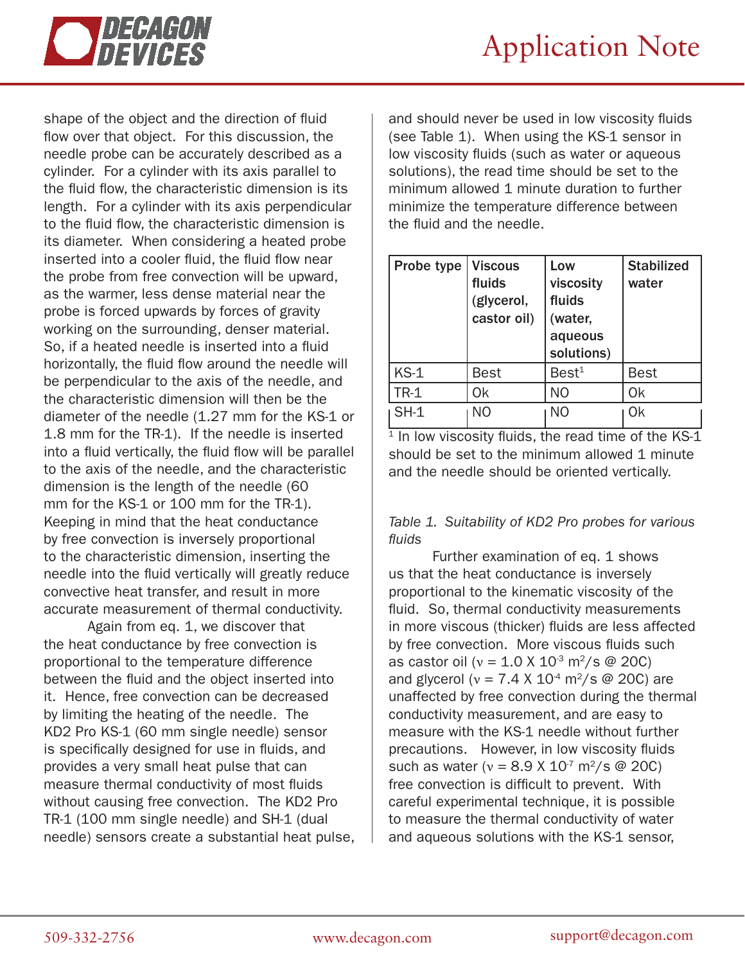

shape of the object and the direction of fluid flow over that object. For this discussion, the needle probe can be accurately described as a cylinder. For a cylinder with its axis parallel to the fluid flow, the characteristic dimension is its length. For a cylinder with its axis perpendicular to the fluid flow, the characteristic dimension is its diameter. When considering a heated probe inserted into a cooler fluid, the fluid flow near the probe from free convection will be upward, as the warmer, less dense material near the probe is forced upwards by forces of gravity working on the surrounding, denser material. So, if a heated needle is inserted into a fluid horizontally, the fluid flow around the needle will be perpendicular to the axis of the needle, and the characteristic dimension will then be the diameter of the needle (1.27 mm for the KS-1 or 1.8 mm for the TR-1). If the needle is inserted into a fluid vertically, the fluid flow will be parallel to the axis of the needle, and the characteristic dimension is the length of the needle (60 mm for the KS-1 or 100 mm for the TR-1). Keeping in mind that the heat conductance by free convection is inversely proportional to the characteristic dimension, inserting the needle into the fluid vertically will greatly reduce convective heat transfer, and result in more accurate measurement of thermal conductivity.

Again from eq. 1, we discover that the heat conductance by free convection is proportional to the temperature difference between the fluid and the object inserted into it. Hence, free convection can be decreased by limiting the heating of the needle. The KD2 Pro KS-1 (60 mm single needle) sensor is specifically designed for use in fluids, and provides a very small heat pulse that can measure thermal conductivity of most fluids without causing free convection. The KD2 Pro TR-1 (100 mm single needle) and SH-1 (dual needle) sensors create a substantial heat pulse,

and should never be used in low viscosity fluids (see Table 1). When using the KS-1 sensor in low viscosity fluids (such as water or aqueous solutions), the read time should be set to the minimum allowed 1 minute duration to further minimize the temperature difference between the fluid and the needle.

| Probe type | <b>Viscous</b><br>fluids<br>(glycerol,<br>castor oil) | Low<br>viscosity<br>fluids<br>(water,<br>aqueous<br>solutions) | <b>Stabilized</b><br>water |
|------------|-------------------------------------------------------|----------------------------------------------------------------|----------------------------|
| $KS-1$     | Best                                                  | Best <sup>1</sup>                                              | <b>Best</b>                |
| $TR-1$     | 0k                                                    | N <sub>O</sub>                                                 | <b>Ok</b>                  |
| $SH-1$     | NΟ                                                    | NΟ                                                             | 0k                         |

 $\frac{1}{1}$  In low viscosity fluids, the read time of the KS-1 should be set to the minimum allowed 1 minute and the needle should be oriented vertically.

#### *Table 1. Suitability of KD2 Pro probes for various fluids*

Further examination of eq. 1 shows us that the heat conductance is inversely proportional to the kinematic viscosity of the fluid. So, thermal conductivity measurements in more viscous (thicker) fluids are less affected by free convection. More viscous fluids such as castor oil ( $v = 1.0 \text{ X } 10^3 \text{ m}^2/\text{s } \textcircled{ } 20 \text{ C}$ ) and glycerol ( $v = 7.4 \times 10^{-4}$  m<sup>2</sup>/s @ 20C) are unaffected by free convection during the thermal conductivity measurement, and are easy to measure with the KS-1 needle without further precautions. However, in low viscosity fluids such as water ( $v = 8.9 \times 10^{7}$  m<sup>2</sup>/s @ 20C) free convection is difficult to prevent. With careful experimental technique, it is possible to measure the thermal conductivity of water and aqueous solutions with the KS-1 sensor,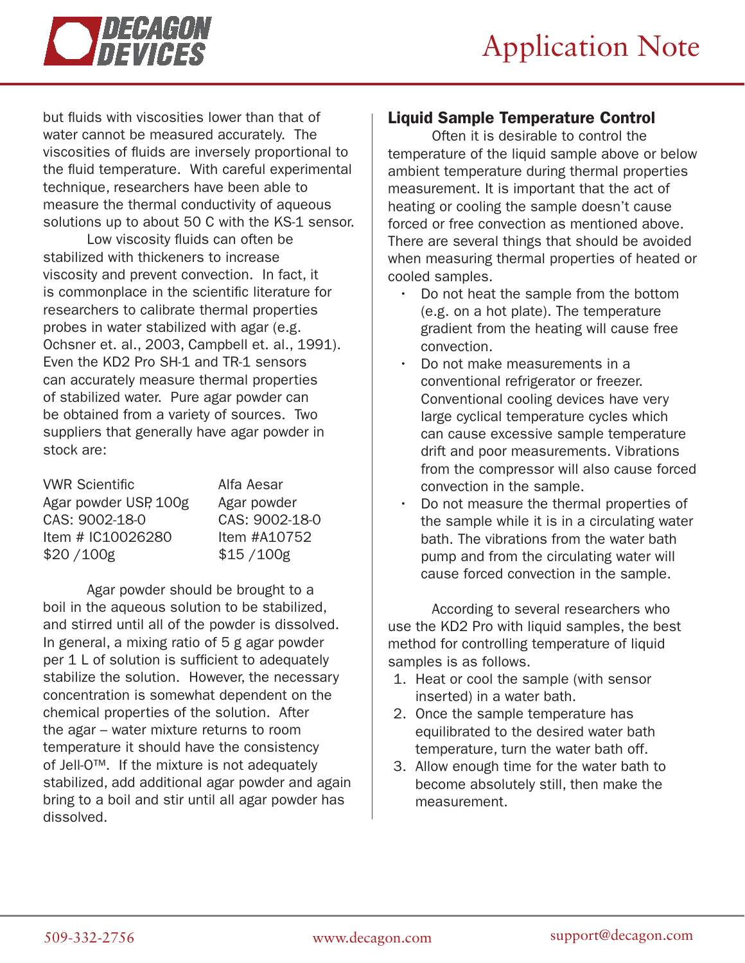



but fluids with viscosities lower than that of water cannot be measured accurately. The viscosities of fluids are inversely proportional to the fluid temperature. With careful experimental technique, researchers have been able to measure the thermal conductivity of aqueous solutions up to about 50 C with the KS-1 sensor.

Low viscosity fluids can often be stabilized with thickeners to increase viscosity and prevent convection. In fact, it is commonplace in the scientific literature for researchers to calibrate thermal properties probes in water stabilized with agar (e.g. Ochsner et. al., 2003, Campbell et. al., 1991). Even the KD2 Pro SH-1 and TR-1 sensors can accurately measure thermal properties of stabilized water. Pure agar powder can be obtained from a variety of sources. Two suppliers that generally have agar powder in stock are:

| <b>VWR Scientific</b> | Alfa Aesar     |
|-----------------------|----------------|
| Agar powder USP, 100g | Agar powder    |
| CAS: 9002-18-0        | CAS: 9002-18-0 |
| Item # IC10026280     | Item #A10752   |
| \$20/100g             | \$15/100g      |

Agar powder should be brought to a boil in the aqueous solution to be stabilized, and stirred until all of the powder is dissolved. In general, a mixing ratio of 5 g agar powder per 1 L of solution is sufficient to adequately stabilize the solution. However, the necessary concentration is somewhat dependent on the chemical properties of the solution. After the agar – water mixture returns to room temperature it should have the consistency of Jell-O™. If the mixture is not adequately stabilized, add additional agar powder and again bring to a boil and stir until all agar powder has dissolved.

## Liquid Sample Temperature Control

Often it is desirable to control the temperature of the liquid sample above or below ambient temperature during thermal properties measurement. It is important that the act of heating or cooling the sample doesn't cause forced or free convection as mentioned above. There are several things that should be avoided when measuring thermal properties of heated or cooled samples.

- Do not heat the sample from the bottom (e.g. on a hot plate). The temperature gradient from the heating will cause free convection.
- Do not make measurements in a conventional refrigerator or freezer. Conventional cooling devices have very large cyclical temperature cycles which can cause excessive sample temperature drift and poor measurements. Vibrations from the compressor will also cause forced convection in the sample.
- Do not measure the thermal properties of the sample while it is in a circulating water bath. The vibrations from the water bath pump and from the circulating water will cause forced convection in the sample.

According to several researchers who use the KD2 Pro with liquid samples, the best method for controlling temperature of liquid samples is as follows.

- 1. Heat or cool the sample (with sensor inserted) in a water bath.
- 2. Once the sample temperature has equilibrated to the desired water bath temperature, turn the water bath off.
- 3. Allow enough time for the water bath to become absolutely still, then make the measurement.